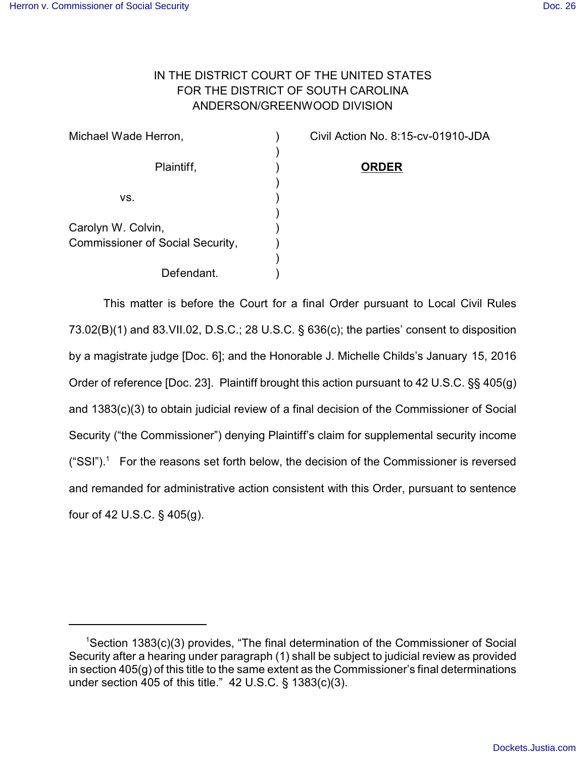# IN THE DISTRICT COURT OF THE UNITED STATES FOR THE DISTRICT OF SOUTH CAROLINA ANDERSON/GREENWOOD DIVISION

| Michael Wade Herron,                    |  |
|-----------------------------------------|--|
|                                         |  |
| Plaintiff,                              |  |
|                                         |  |
| VS.                                     |  |
|                                         |  |
| Carolyn W. Colvin,                      |  |
| <b>Commissioner of Social Security,</b> |  |
|                                         |  |
| Defendant.                              |  |

Civil Action No. 8:15-cv-01910-JDA

#### Plaintiff, ) **ORDER**

This matter is before the Court for a final Order pursuant to Local Civil Rules 73.02(B)(1) and 83.VII.02, D.S.C.; 28 U.S.C. § 636(c); the parties' consent to disposition by a magistrate judge [Doc. 6]; and the Honorable J. Michelle Childs's January 15, 2016 Order of reference [Doc. 23]. Plaintiff brought this action pursuant to 42 U.S.C. §§ 405(g) and 1383(c)(3) to obtain judicial review of a final decision of the Commissioner of Social Security ("the Commissioner") denying Plaintiff's claim for supplemental security income  $("SSI").<sup>1</sup>$  For the reasons set forth below, the decision of the Commissioner is reversed and remanded for administrative action consistent with this Order, pursuant to sentence four of 42 U.S.C. § 405(g).

 $1$ Section 1383(c)(3) provides, "The final determination of the Commissioner of Social Security after a hearing under paragraph (1) shall be subject to judicial review as provided in section 405(g) of this title to the same extent as the Commissioner's final determinations under section  $405$  of this title." 42 U.S.C. § 1383(c)(3).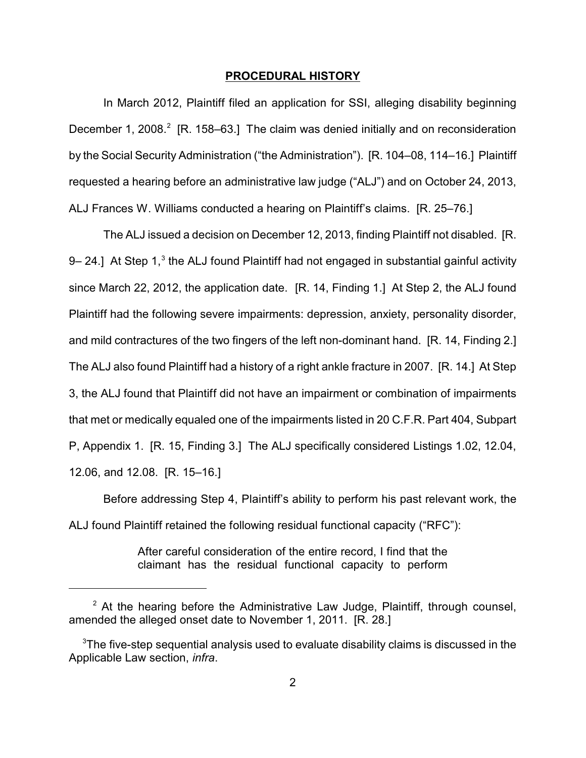#### **PROCEDURAL HISTORY**

In March 2012, Plaintiff filed an application for SSI, alleging disability beginning December 1, 2008. $^{2}$  [R. 158–63.] The claim was denied initially and on reconsideration by the Social Security Administration ("the Administration"). [R. 104–08, 114–16.] Plaintiff requested a hearing before an administrative law judge ("ALJ") and on October 24, 2013, ALJ Frances W. Williams conducted a hearing on Plaintiff's claims. [R. 25–76.]

The ALJ issued a decision on December 12, 2013, finding Plaintiff not disabled. [R. 9– 24.] At Step 1,<sup>3</sup> the ALJ found Plaintiff had not engaged in substantial gainful activity since March 22, 2012, the application date. [R. 14, Finding 1.] At Step 2, the ALJ found Plaintiff had the following severe impairments: depression, anxiety, personality disorder, and mild contractures of the two fingers of the left non-dominant hand. [R. 14, Finding 2.] The ALJ also found Plaintiff had a history of a right ankle fracture in 2007. [R. 14.] At Step 3, the ALJ found that Plaintiff did not have an impairment or combination of impairments that met or medically equaled one of the impairments listed in 20 C.F.R. Part 404, Subpart P, Appendix 1. [R. 15, Finding 3.] The ALJ specifically considered Listings 1.02, 12.04, 12.06, and 12.08. [R. 15–16.]

Before addressing Step 4, Plaintiff's ability to perform his past relevant work, the ALJ found Plaintiff retained the following residual functional capacity ("RFC"):

> After careful consideration of the entire record, I find that the claimant has the residual functional capacity to perform

 $2$  At the hearing before the Administrative Law Judge, Plaintiff, through counsel, amended the alleged onset date to November 1, 2011. [R. 28.]

<sup>&</sup>lt;sup>3</sup>The five-step sequential analysis used to evaluate disability claims is discussed in the Applicable Law section, *infra*.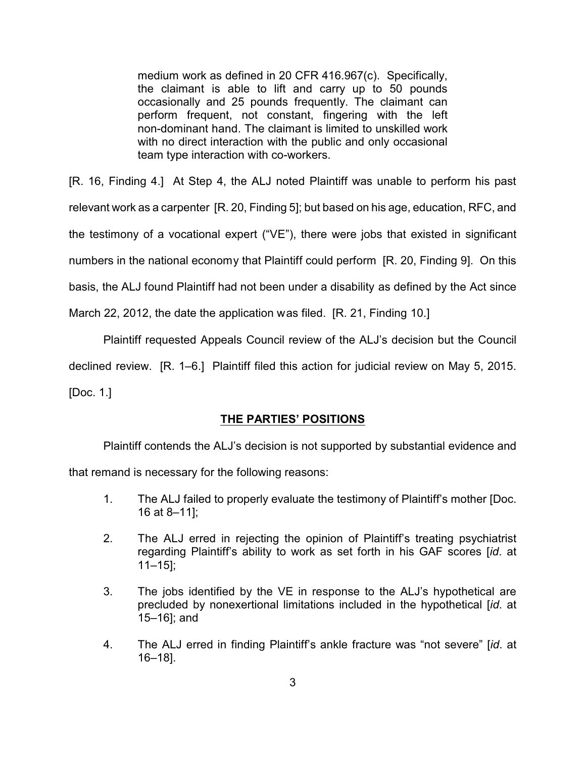medium work as defined in 20 CFR 416.967(c). Specifically, the claimant is able to lift and carry up to 50 pounds occasionally and 25 pounds frequently. The claimant can perform frequent, not constant, fingering with the left non-dominant hand. The claimant is limited to unskilled work with no direct interaction with the public and only occasional team type interaction with co-workers.

[R. 16, Finding 4.] At Step 4, the ALJ noted Plaintiff was unable to perform his past relevant work as a carpenter [R. 20, Finding 5]; but based on his age, education, RFC, and the testimony of a vocational expert ("VE"), there were jobs that existed in significant numbers in the national economy that Plaintiff could perform [R. 20, Finding 9]. On this basis, the ALJ found Plaintiff had not been under a disability as defined by the Act since

March 22, 2012, the date the application was filed. [R. 21, Finding 10.]

Plaintiff requested Appeals Council review of the ALJ's decision but the Council

declined review. [R. 1–6.] Plaintiff filed this action for judicial review on May 5, 2015.

[Doc. 1.]

# **THE PARTIES' POSITIONS**

Plaintiff contends the ALJ's decision is not supported by substantial evidence and that remand is necessary for the following reasons:

- 1. The ALJ failed to properly evaluate the testimony of Plaintiff's mother [Doc. 16 at 8–11];
- 2. The ALJ erred in rejecting the opinion of Plaintiff's treating psychiatrist regarding Plaintiff's ability to work as set forth in his GAF scores [*id*. at 11–15];
- 3. The jobs identified by the VE in response to the ALJ's hypothetical are precluded by nonexertional limitations included in the hypothetical [*id*. at 15–16]; and
- 4. The ALJ erred in finding Plaintiff's ankle fracture was "not severe" [*id*. at 16–18].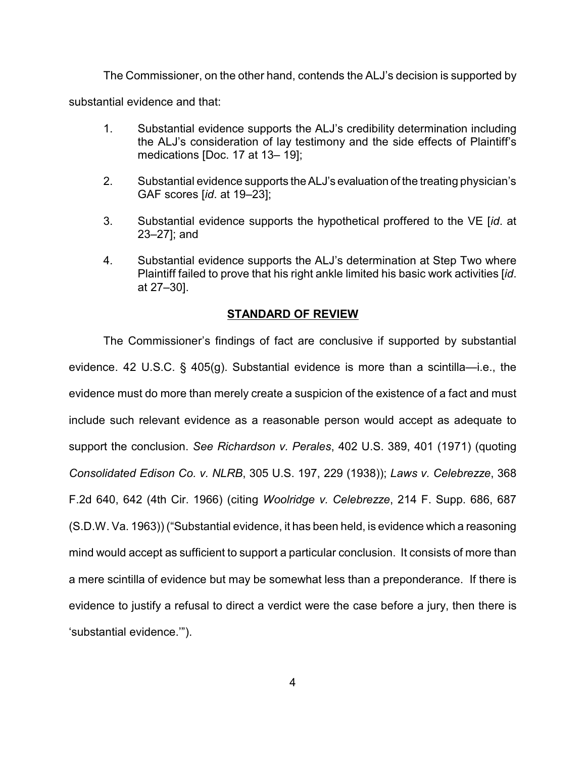The Commissioner, on the other hand, contends the ALJ's decision is supported by

substantial evidence and that:

- 1. Substantial evidence supports the ALJ's credibility determination including the ALJ's consideration of lay testimony and the side effects of Plaintiff's medications [Doc. 17 at 13– 19];
- 2. Substantial evidence supports theALJ's evaluation of the treating physician's GAF scores [*id*. at 19–23];
- 3. Substantial evidence supports the hypothetical proffered to the VE [*id*. at 23–27]; and
- 4. Substantial evidence supports the ALJ's determination at Step Two where Plaintiff failed to prove that his right ankle limited his basic work activities [*id*. at 27–30].

## **STANDARD OF REVIEW**

The Commissioner's findings of fact are conclusive if supported by substantial evidence. 42 U.S.C. § 405(g). Substantial evidence is more than a scintilla—i.e., the evidence must do more than merely create a suspicion of the existence of a fact and must include such relevant evidence as a reasonable person would accept as adequate to support the conclusion. *See Richardson v. Perales*, 402 U.S. 389, 401 (1971) (quoting *Consolidated Edison Co. v. NLRB*, 305 U.S. 197, 229 (1938)); *Laws v. Celebrezze*, 368 F.2d 640, 642 (4th Cir. 1966) (citing *Woolridge v. Celebrezze*, 214 F. Supp. 686, 687 (S.D.W. Va. 1963)) ("Substantial evidence, it has been held, is evidence which a reasoning mind would accept as sufficient to support a particular conclusion. It consists of more than a mere scintilla of evidence but may be somewhat less than a preponderance. If there is evidence to justify a refusal to direct a verdict were the case before a jury, then there is 'substantial evidence.'").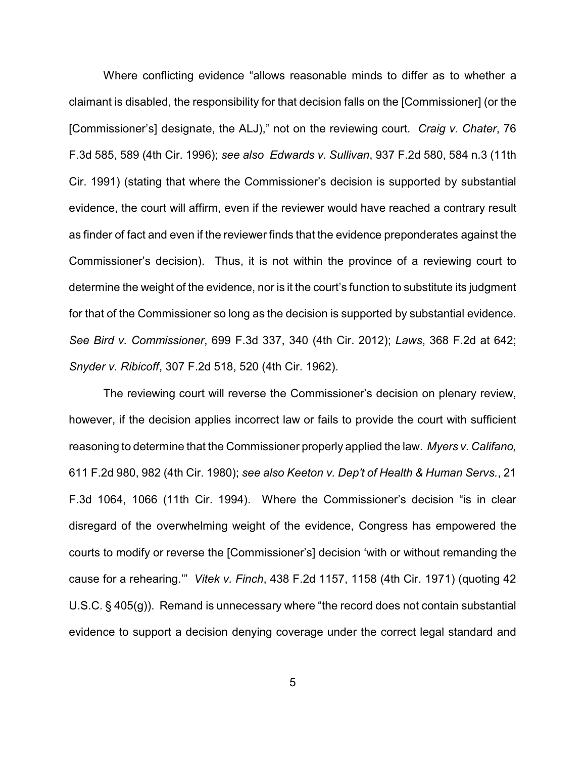Where conflicting evidence "allows reasonable minds to differ as to whether a claimant is disabled, the responsibility for that decision falls on the [Commissioner] (or the [Commissioner's] designate, the ALJ)," not on the reviewing court. *Craig v. Chater*, 76 F.3d 585, 589 (4th Cir. 1996); *see also Edwards v. Sullivan*, 937 F.2d 580, 584 n.3 (11th Cir. 1991) (stating that where the Commissioner's decision is supported by substantial evidence, the court will affirm, even if the reviewer would have reached a contrary result as finder of fact and even if the reviewer finds that the evidence preponderates against the Commissioner's decision). Thus, it is not within the province of a reviewing court to determine the weight of the evidence, nor is it the court's function to substitute its judgment for that of the Commissioner so long as the decision is supported by substantial evidence. *See Bird v. Commissioner*, 699 F.3d 337, 340 (4th Cir. 2012); *Laws*, 368 F.2d at 642; *Snyder v. Ribicoff*, 307 F.2d 518, 520 (4th Cir. 1962).

The reviewing court will reverse the Commissioner's decision on plenary review, however, if the decision applies incorrect law or fails to provide the court with sufficient reasoning to determine that the Commissioner properly applied the law. *Myers v. Califano,* 611 F.2d 980, 982 (4th Cir. 1980); *see also Keeton v. Dep't of Health & Human Servs.*, 21 F.3d 1064, 1066 (11th Cir. 1994). Where the Commissioner's decision "is in clear disregard of the overwhelming weight of the evidence, Congress has empowered the courts to modify or reverse the [Commissioner's] decision 'with or without remanding the cause for a rehearing.'" *Vitek v. Finch*, 438 F.2d 1157, 1158 (4th Cir. 1971) (quoting 42 U.S.C. § 405(g)). Remand is unnecessary where "the record does not contain substantial evidence to support a decision denying coverage under the correct legal standard and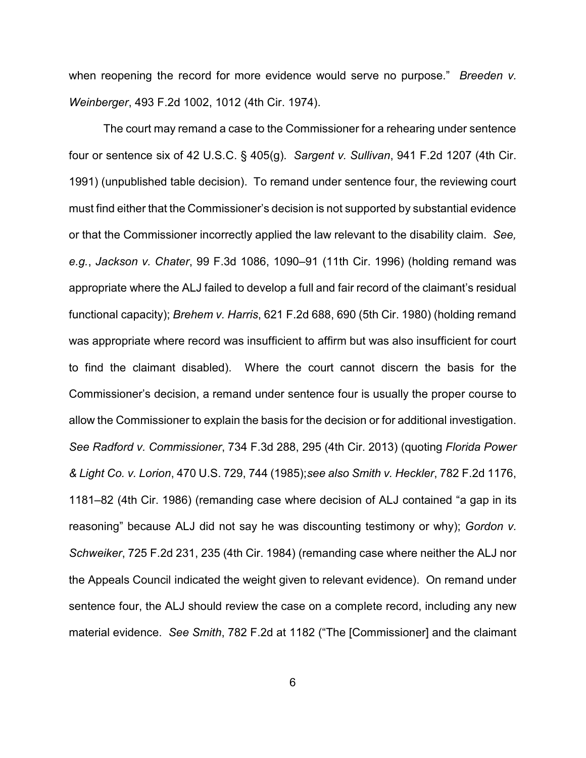when reopening the record for more evidence would serve no purpose." *Breeden v. Weinberger*, 493 F.2d 1002, 1012 (4th Cir. 1974).

The court may remand a case to the Commissioner for a rehearing under sentence four or sentence six of 42 U.S.C. § 405(g). *Sargent v. Sullivan*, 941 F.2d 1207 (4th Cir. 1991) (unpublished table decision). To remand under sentence four, the reviewing court must find either that the Commissioner's decision is not supported by substantial evidence or that the Commissioner incorrectly applied the law relevant to the disability claim. *See, e.g.*, *Jackson v. Chater*, 99 F.3d 1086, 1090–91 (11th Cir. 1996) (holding remand was appropriate where the ALJ failed to develop a full and fair record of the claimant's residual functional capacity); *Brehem v. Harris*, 621 F.2d 688, 690 (5th Cir. 1980) (holding remand was appropriate where record was insufficient to affirm but was also insufficient for court to find the claimant disabled). Where the court cannot discern the basis for the Commissioner's decision, a remand under sentence four is usually the proper course to allow the Commissioner to explain the basis for the decision or for additional investigation. *See Radford v. Commissioner*, 734 F.3d 288, 295 (4th Cir. 2013) (quoting *Florida Power & Light Co. v. Lorion*, 470 U.S. 729, 744 (1985);*see also Smith v. Heckler*, 782 F.2d 1176, 1181–82 (4th Cir. 1986) (remanding case where decision of ALJ contained "a gap in its reasoning" because ALJ did not say he was discounting testimony or why); *Gordon v. Schweiker*, 725 F.2d 231, 235 (4th Cir. 1984) (remanding case where neither the ALJ nor the Appeals Council indicated the weight given to relevant evidence). On remand under sentence four, the ALJ should review the case on a complete record, including any new material evidence. *See Smith*, 782 F.2d at 1182 ("The [Commissioner] and the claimant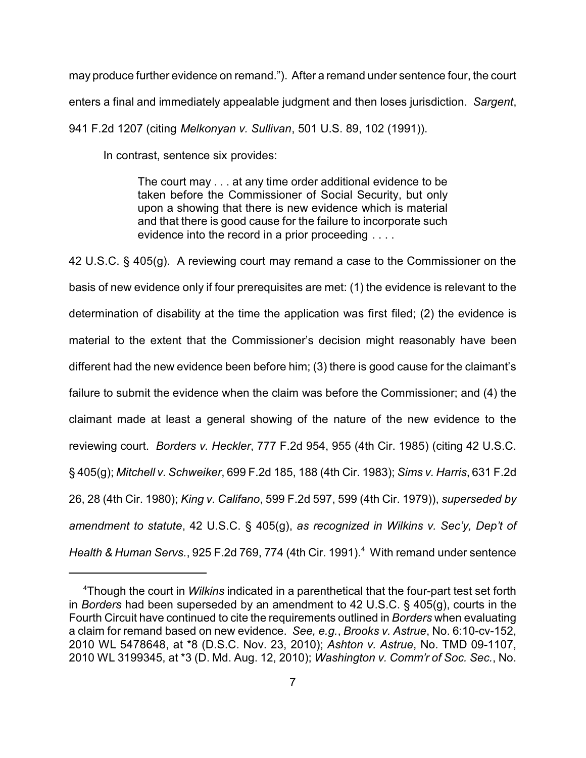may produce further evidence on remand."). After a remand under sentence four, the court enters a final and immediately appealable judgment and then loses jurisdiction. *Sargent*, 941 F.2d 1207 (citing *Melkonyan v. Sullivan*, 501 U.S. 89, 102 (1991)).

In contrast, sentence six provides:

The court may . . . at any time order additional evidence to be taken before the Commissioner of Social Security, but only upon a showing that there is new evidence which is material and that there is good cause for the failure to incorporate such evidence into the record in a prior proceeding . . . .

42 U.S.C. § 405(g). A reviewing court may remand a case to the Commissioner on the basis of new evidence only if four prerequisites are met: (1) the evidence is relevant to the determination of disability at the time the application was first filed; (2) the evidence is material to the extent that the Commissioner's decision might reasonably have been different had the new evidence been before him; (3) there is good cause for the claimant's failure to submit the evidence when the claim was before the Commissioner; and (4) the claimant made at least a general showing of the nature of the new evidence to the reviewing court. *Borders v. Heckler*, 777 F.2d 954, 955 (4th Cir. 1985) (citing 42 U.S.C. § 405(g); *Mitchell v. Schweiker*, 699 F.2d 185, 188 (4th Cir. 1983); *Sims v. Harris*, 631 F.2d 26, 28 (4th Cir. 1980); *King v. Califano*, 599 F.2d 597, 599 (4th Cir. 1979)), *superseded by amendment to statute*, 42 U.S.C. § 405(g), *as recognized in Wilkins v. Sec'y, Dep't of Health & Human Servs.*, 925 F.2d 769, 774 (4th Cir. 1991).<sup>4</sup> With remand under sentence

<sup>4</sup>Though the court in *Wilkins* indicated in a parenthetical that the four-part test set forth in *Borders* had been superseded by an amendment to 42 U.S.C. § 405(g), courts in the Fourth Circuit have continued to cite the requirements outlined in *Borders* when evaluating a claim for remand based on new evidence. *See, e.g.*, *Brooks v. Astrue*, No. 6:10-cv-152, 2010 WL 5478648, at \*8 (D.S.C. Nov. 23, 2010); *Ashton v. Astrue*, No. TMD 09-1107, 2010 WL 3199345, at \*3 (D. Md. Aug. 12, 2010); *Washington v. Comm'r of Soc. Sec.*, No.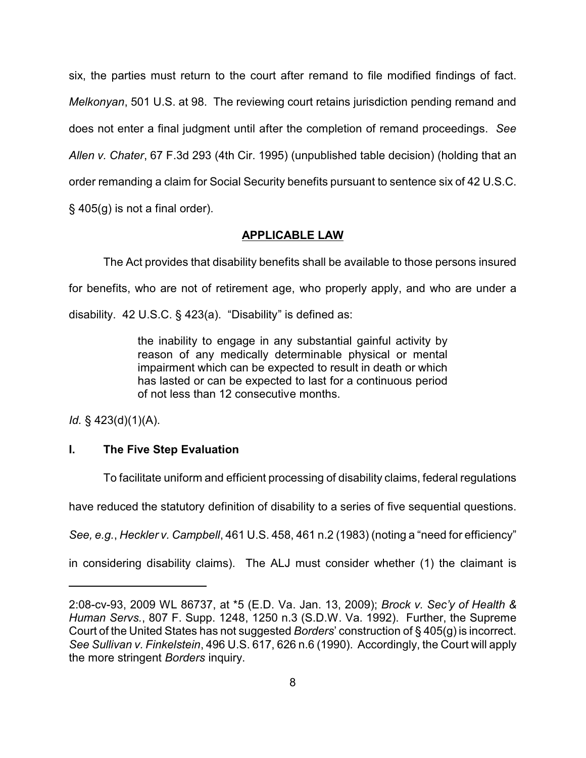six, the parties must return to the court after remand to file modified findings of fact. *Melkonyan*, 501 U.S. at 98. The reviewing court retains jurisdiction pending remand and does not enter a final judgment until after the completion of remand proceedings. *See Allen v. Chater*, 67 F.3d 293 (4th Cir. 1995) (unpublished table decision) (holding that an order remanding a claim for Social Security benefits pursuant to sentence six of 42 U.S.C. § 405(g) is not a final order).

## **APPLICABLE LAW**

The Act provides that disability benefits shall be available to those persons insured for benefits, who are not of retirement age, who properly apply, and who are under a disability. 42 U.S.C. § 423(a). "Disability" is defined as:

> the inability to engage in any substantial gainful activity by reason of any medically determinable physical or mental impairment which can be expected to result in death or which has lasted or can be expected to last for a continuous period of not less than 12 consecutive months.

*Id.* § 423(d)(1)(A).

# **I. The Five Step Evaluation**

To facilitate uniform and efficient processing of disability claims, federal regulations

have reduced the statutory definition of disability to a series of five sequential questions.

*See, e.g.*, *Heckler v. Campbell*, 461 U.S. 458, 461 n.2 (1983) (noting a "need for efficiency"

in considering disability claims). The ALJ must consider whether (1) the claimant is

<sup>2:08-</sup>cv-93, 2009 WL 86737, at \*5 (E.D. Va. Jan. 13, 2009); *Brock v. Sec'y of Health & Human Servs.*, 807 F. Supp. 1248, 1250 n.3 (S.D.W. Va. 1992). Further, the Supreme Court of the United States has not suggested *Borders*' construction of § 405(g) is incorrect. *See Sullivan v. Finkelstein*, 496 U.S. 617, 626 n.6 (1990). Accordingly, the Court will apply the more stringent *Borders* inquiry.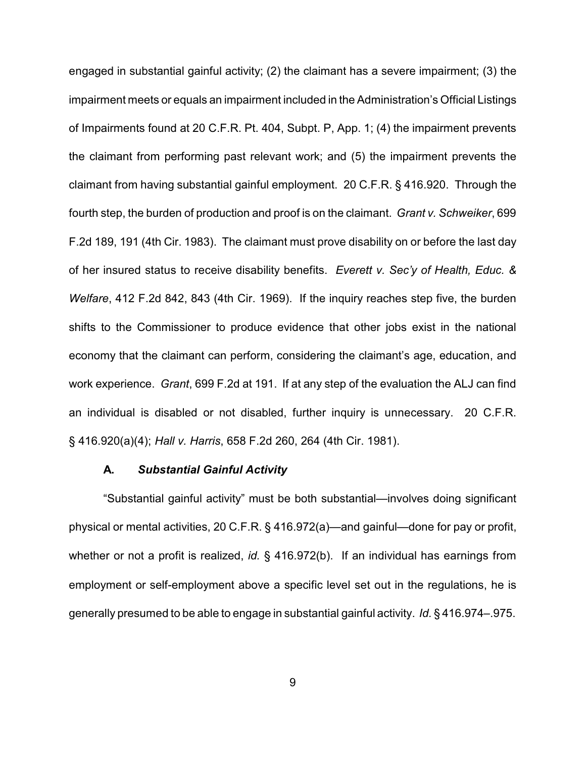engaged in substantial gainful activity; (2) the claimant has a severe impairment; (3) the impairment meets or equals an impairment included in the Administration's Official Listings of Impairments found at 20 C.F.R. Pt. 404, Subpt. P, App. 1; (4) the impairment prevents the claimant from performing past relevant work; and (5) the impairment prevents the claimant from having substantial gainful employment. 20 C.F.R. § 416.920. Through the fourth step, the burden of production and proof is on the claimant. *Grant v. Schweiker*, 699 F.2d 189, 191 (4th Cir. 1983). The claimant must prove disability on or before the last day of her insured status to receive disability benefits. *Everett v. Sec'y of Health, Educ. & Welfare*, 412 F.2d 842, 843 (4th Cir. 1969). If the inquiry reaches step five, the burden shifts to the Commissioner to produce evidence that other jobs exist in the national economy that the claimant can perform, considering the claimant's age, education, and work experience. *Grant*, 699 F.2d at 191. If at any step of the evaluation the ALJ can find an individual is disabled or not disabled, further inquiry is unnecessary. 20 C.F.R. § 416.920(a)(4); *Hall v. Harris*, 658 F.2d 260, 264 (4th Cir. 1981).

### **A.** *Substantial Gainful Activity*

"Substantial gainful activity" must be both substantial—involves doing significant physical or mental activities, 20 C.F.R. § 416.972(a)—and gainful—done for pay or profit, whether or not a profit is realized, *id.* § 416.972(b). If an individual has earnings from employment or self-employment above a specific level set out in the regulations, he is generally presumed to be able to engage in substantial gainful activity. *Id.* § 416.974–.975.

9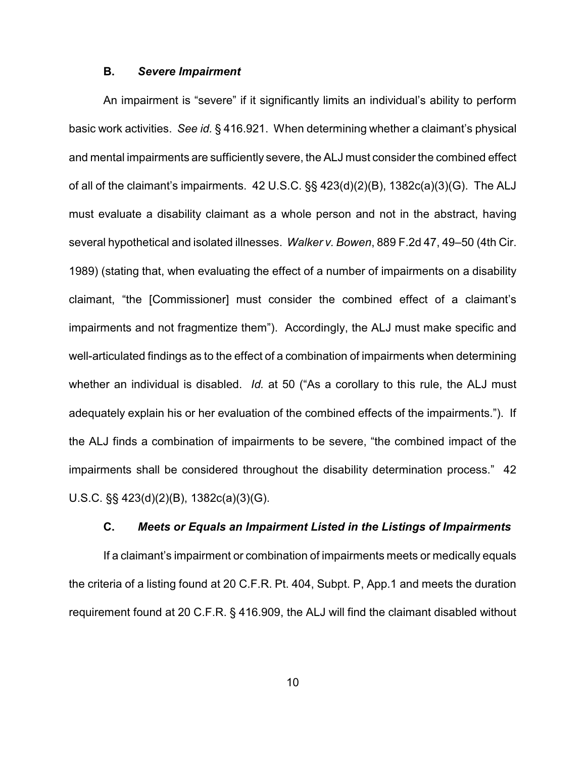#### **B.** *Severe Impairment*

An impairment is "severe" if it significantly limits an individual's ability to perform basic work activities. *See id.* § 416.921. When determining whether a claimant's physical and mental impairments are sufficiently severe, the ALJ must consider the combined effect of all of the claimant's impairments. 42 U.S.C. §§ 423(d)(2)(B), 1382c(a)(3)(G). The ALJ must evaluate a disability claimant as a whole person and not in the abstract, having several hypothetical and isolated illnesses. *Walker v. Bowen*, 889 F.2d 47, 49–50 (4th Cir. 1989) (stating that, when evaluating the effect of a number of impairments on a disability claimant, "the [Commissioner] must consider the combined effect of a claimant's impairments and not fragmentize them"). Accordingly, the ALJ must make specific and well-articulated findings as to the effect of a combination of impairments when determining whether an individual is disabled. *Id.* at 50 ("As a corollary to this rule, the ALJ must adequately explain his or her evaluation of the combined effects of the impairments."). If the ALJ finds a combination of impairments to be severe, "the combined impact of the impairments shall be considered throughout the disability determination process." 42 U.S.C. §§ 423(d)(2)(B), 1382c(a)(3)(G).

#### **C.** *Meets or Equals an Impairment Listed in the Listings of Impairments*

If a claimant's impairment or combination of impairments meets or medically equals the criteria of a listing found at 20 C.F.R. Pt. 404, Subpt. P, App.1 and meets the duration requirement found at 20 C.F.R. § 416.909, the ALJ will find the claimant disabled without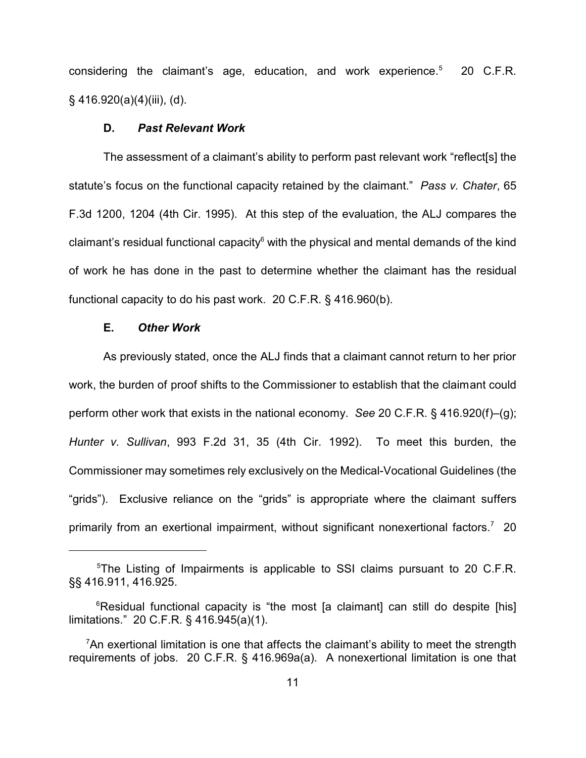considering the claimant's age, education, and work experience.<sup>5</sup> 20 C.F.R. § 416.920(a)(4)(iii), (d).

#### **D.** *Past Relevant Work*

The assessment of a claimant's ability to perform past relevant work "reflect[s] the statute's focus on the functional capacity retained by the claimant." *Pass v. Chater*, 65 F.3d 1200, 1204 (4th Cir. 1995). At this step of the evaluation, the ALJ compares the claimant's residual functional capacity $6$  with the physical and mental demands of the kind of work he has done in the past to determine whether the claimant has the residual functional capacity to do his past work. 20 C.F.R. § 416.960(b).

#### **E.** *Other Work*

As previously stated, once the ALJ finds that a claimant cannot return to her prior work, the burden of proof shifts to the Commissioner to establish that the claimant could perform other work that exists in the national economy. *See* 20 C.F.R. § 416.920(f)–(g); *Hunter v. Sullivan*, 993 F.2d 31, 35 (4th Cir. 1992). To meet this burden, the Commissioner may sometimes rely exclusively on the Medical-Vocational Guidelines (the "grids"). Exclusive reliance on the "grids" is appropriate where the claimant suffers primarily from an exertional impairment, without significant nonexertional factors.<sup>7</sup> 20

<sup>&</sup>lt;sup>5</sup>The Listing of Impairments is applicable to SSI claims pursuant to 20 C.F.R. §§ 416.911, 416.925.

 $6$ Residual functional capacity is "the most [a claimant] can still do despite [his] limitations." 20 C.F.R. § 416.945(a)(1).

 $7$ An exertional limitation is one that affects the claimant's ability to meet the strength requirements of jobs. 20 C.F.R. § 416.969a(a). A nonexertional limitation is one that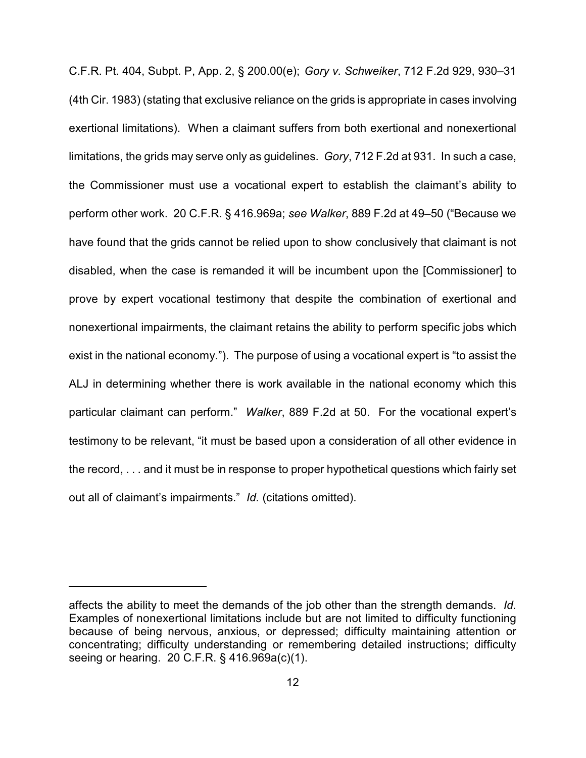C.F.R. Pt. 404, Subpt. P, App. 2, § 200.00(e); *Gory v. Schweiker*, 712 F.2d 929, 930–31 (4th Cir. 1983) (stating that exclusive reliance on the grids is appropriate in cases involving exertional limitations). When a claimant suffers from both exertional and nonexertional limitations, the grids may serve only as guidelines. *Gory*, 712 F.2d at 931. In such a case, the Commissioner must use a vocational expert to establish the claimant's ability to perform other work. 20 C.F.R. § 416.969a; *see Walker*, 889 F.2d at 49–50 ("Because we have found that the grids cannot be relied upon to show conclusively that claimant is not disabled, when the case is remanded it will be incumbent upon the [Commissioner] to prove by expert vocational testimony that despite the combination of exertional and nonexertional impairments, the claimant retains the ability to perform specific jobs which exist in the national economy."). The purpose of using a vocational expert is "to assist the ALJ in determining whether there is work available in the national economy which this particular claimant can perform." *Walker*, 889 F.2d at 50. For the vocational expert's testimony to be relevant, "it must be based upon a consideration of all other evidence in the record, . . . and it must be in response to proper hypothetical questions which fairly set out all of claimant's impairments." *Id.* (citations omitted).

affects the ability to meet the demands of the job other than the strength demands. *Id.* Examples of nonexertional limitations include but are not limited to difficulty functioning because of being nervous, anxious, or depressed; difficulty maintaining attention or concentrating; difficulty understanding or remembering detailed instructions; difficulty seeing or hearing. 20 C.F.R. § 416.969a(c)(1).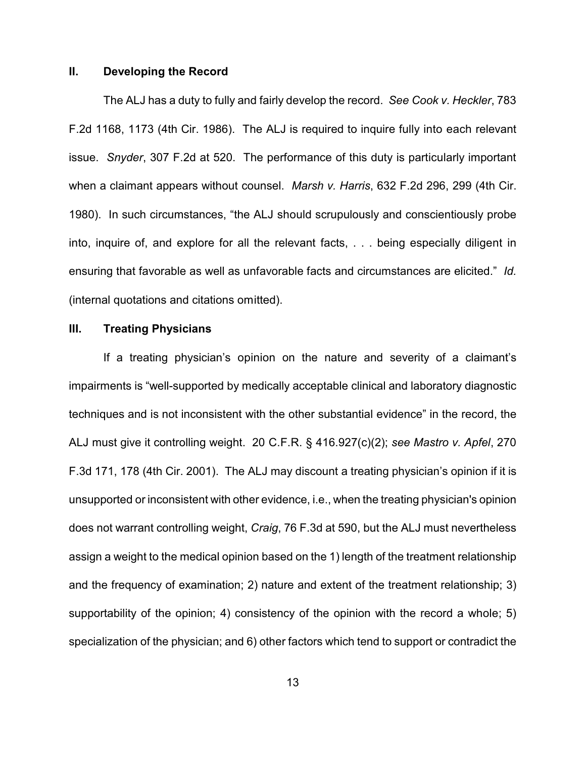#### **II. Developing the Record**

The ALJ has a duty to fully and fairly develop the record. *See Cook v. Heckler*, 783 F.2d 1168, 1173 (4th Cir. 1986). The ALJ is required to inquire fully into each relevant issue. *Snyder*, 307 F.2d at 520. The performance of this duty is particularly important when a claimant appears without counsel. *Marsh v. Harris*, 632 F.2d 296, 299 (4th Cir. 1980). In such circumstances, "the ALJ should scrupulously and conscientiously probe into, inquire of, and explore for all the relevant facts, . . . being especially diligent in ensuring that favorable as well as unfavorable facts and circumstances are elicited." *Id.* (internal quotations and citations omitted).

### **III. Treating Physicians**

If a treating physician's opinion on the nature and severity of a claimant's impairments is "well-supported by medically acceptable clinical and laboratory diagnostic techniques and is not inconsistent with the other substantial evidence" in the record, the ALJ must give it controlling weight. 20 C.F.R. § 416.927(c)(2); *see Mastro v. Apfel*, 270 F.3d 171, 178 (4th Cir. 2001). The ALJ may discount a treating physician's opinion if it is unsupported or inconsistent with other evidence, i.e., when the treating physician's opinion does not warrant controlling weight, *Craig*, 76 F.3d at 590, but the ALJ must nevertheless assign a weight to the medical opinion based on the 1) length of the treatment relationship and the frequency of examination; 2) nature and extent of the treatment relationship; 3) supportability of the opinion; 4) consistency of the opinion with the record a whole; 5) specialization of the physician; and 6) other factors which tend to support or contradict the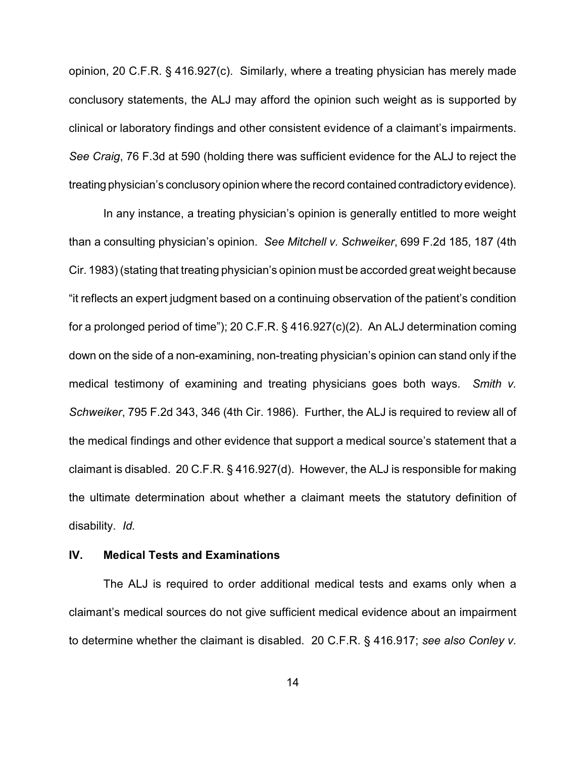opinion, 20 C.F.R. § 416.927(c). Similarly, where a treating physician has merely made conclusory statements, the ALJ may afford the opinion such weight as is supported by clinical or laboratory findings and other consistent evidence of a claimant's impairments. *See Craig*, 76 F.3d at 590 (holding there was sufficient evidence for the ALJ to reject the treating physician's conclusory opinion where the record contained contradictory evidence).

In any instance, a treating physician's opinion is generally entitled to more weight than a consulting physician's opinion. *See Mitchell v. Schweiker*, 699 F.2d 185, 187 (4th Cir. 1983) (stating that treating physician's opinion must be accorded great weight because "it reflects an expert judgment based on a continuing observation of the patient's condition for a prolonged period of time"); 20 C.F.R. § 416.927(c)(2). An ALJ determination coming down on the side of a non-examining, non-treating physician's opinion can stand only if the medical testimony of examining and treating physicians goes both ways. *Smith v. Schweiker*, 795 F.2d 343, 346 (4th Cir. 1986). Further, the ALJ is required to review all of the medical findings and other evidence that support a medical source's statement that a claimant is disabled. 20 C.F.R. § 416.927(d). However, the ALJ is responsible for making the ultimate determination about whether a claimant meets the statutory definition of disability. *Id.*

### **IV. Medical Tests and Examinations**

The ALJ is required to order additional medical tests and exams only when a claimant's medical sources do not give sufficient medical evidence about an impairment to determine whether the claimant is disabled. 20 C.F.R. § 416.917; *see also Conley v.*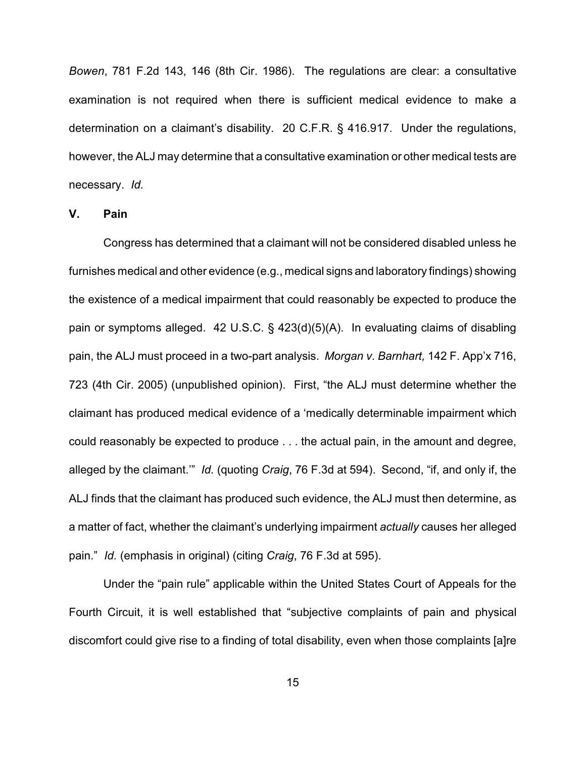*Bowen*, 781 F.2d 143, 146 (8th Cir. 1986). The regulations are clear: a consultative examination is not required when there is sufficient medical evidence to make a determination on a claimant's disability. 20 C.F.R. § 416.917. Under the regulations, however, the ALJ may determine that a consultative examination or other medical tests are necessary. *Id.*

#### **V. Pain**

Congress has determined that a claimant will not be considered disabled unless he furnishes medical and other evidence (e.g., medical signs and laboratory findings) showing the existence of a medical impairment that could reasonably be expected to produce the pain or symptoms alleged. 42 U.S.C. § 423(d)(5)(A). In evaluating claims of disabling pain, the ALJ must proceed in a two-part analysis. *Morgan v. Barnhart,* 142 F. App'x 716, 723 (4th Cir. 2005) (unpublished opinion). First, "the ALJ must determine whether the claimant has produced medical evidence of a 'medically determinable impairment which could reasonably be expected to produce . . . the actual pain, in the amount and degree, alleged by the claimant.'" *Id.* (quoting *Craig*, 76 F.3d at 594). Second, "if, and only if, the ALJ finds that the claimant has produced such evidence, the ALJ must then determine, as a matter of fact, whether the claimant's underlying impairment *actually* causes her alleged pain." *Id.* (emphasis in original) (citing *Craig*, 76 F.3d at 595).

Under the "pain rule" applicable within the United States Court of Appeals for the Fourth Circuit, it is well established that "subjective complaints of pain and physical discomfort could give rise to a finding of total disability, even when those complaints [a]re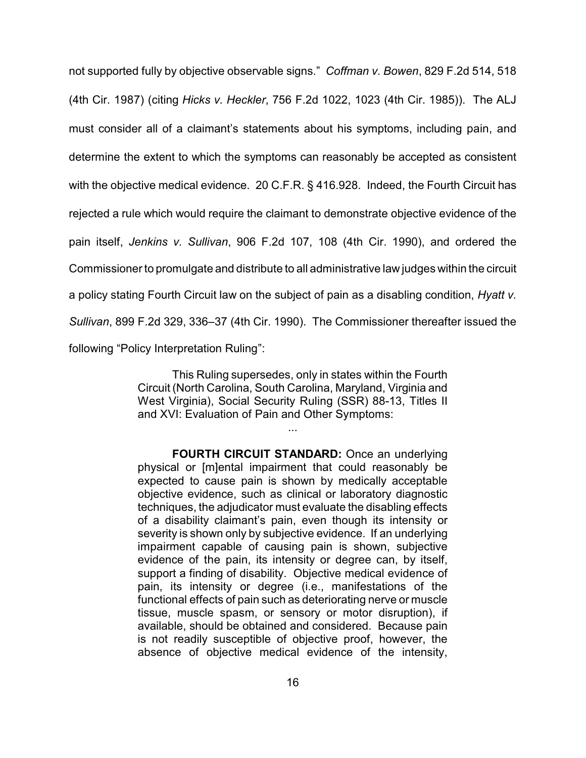not supported fully by objective observable signs." *Coffman v. Bowen*, 829 F.2d 514, 518 (4th Cir. 1987) (citing *Hicks v. Heckler*, 756 F.2d 1022, 1023 (4th Cir. 1985)). The ALJ must consider all of a claimant's statements about his symptoms, including pain, and determine the extent to which the symptoms can reasonably be accepted as consistent with the objective medical evidence. 20 C.F.R. § 416.928. Indeed, the Fourth Circuit has rejected a rule which would require the claimant to demonstrate objective evidence of the pain itself, *Jenkins v. Sullivan*, 906 F.2d 107, 108 (4th Cir. 1990), and ordered the Commissioner to promulgate and distribute to all administrative law judges within the circuit a policy stating Fourth Circuit law on the subject of pain as a disabling condition, *Hyatt v. Sullivan*, 899 F.2d 329, 336–37 (4th Cir. 1990). The Commissioner thereafter issued the following "Policy Interpretation Ruling":

> This Ruling supersedes, only in states within the Fourth Circuit (North Carolina, South Carolina, Maryland, Virginia and West Virginia), Social Security Ruling (SSR) 88-13, Titles II and XVI: Evaluation of Pain and Other Symptoms:

> **FOURTH CIRCUIT STANDARD:** Once an underlying physical or [m]ental impairment that could reasonably be expected to cause pain is shown by medically acceptable objective evidence, such as clinical or laboratory diagnostic techniques, the adjudicator must evaluate the disabling effects of a disability claimant's pain, even though its intensity or severity is shown only by subjective evidence. If an underlying impairment capable of causing pain is shown, subjective evidence of the pain, its intensity or degree can, by itself, support a finding of disability. Objective medical evidence of pain, its intensity or degree (i.e., manifestations of the functional effects of pain such as deteriorating nerve or muscle tissue, muscle spasm, or sensory or motor disruption), if available, should be obtained and considered. Because pain is not readily susceptible of objective proof, however, the absence of objective medical evidence of the intensity,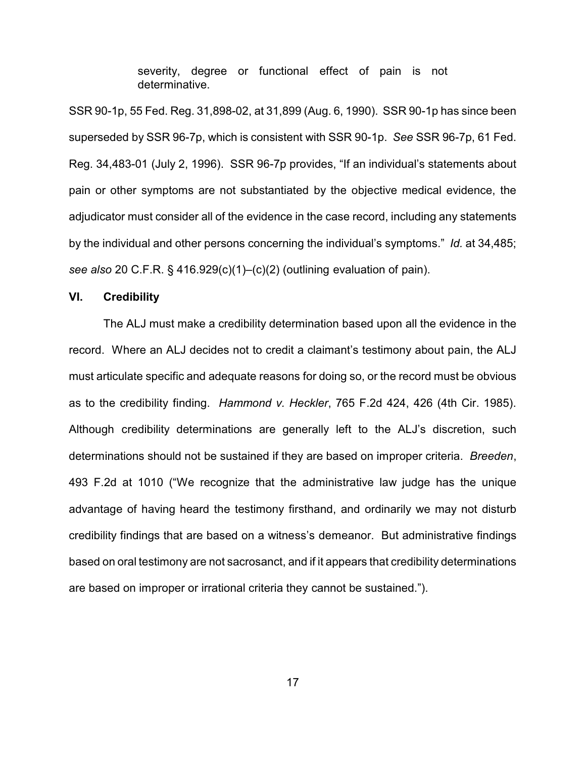severity, degree or functional effect of pain is not determinative.

SSR 90-1p, 55 Fed. Reg. 31,898-02, at 31,899 (Aug. 6, 1990). SSR 90-1p has since been superseded by SSR 96-7p, which is consistent with SSR 90-1p. *See* SSR 96-7p, 61 Fed. Reg. 34,483-01 (July 2, 1996). SSR 96-7p provides, "If an individual's statements about pain or other symptoms are not substantiated by the objective medical evidence, the adjudicator must consider all of the evidence in the case record, including any statements by the individual and other persons concerning the individual's symptoms." *Id.* at 34,485; *see also* 20 C.F.R. § 416.929(c)(1)–(c)(2) (outlining evaluation of pain).

#### **VI. Credibility**

The ALJ must make a credibility determination based upon all the evidence in the record. Where an ALJ decides not to credit a claimant's testimony about pain, the ALJ must articulate specific and adequate reasons for doing so, or the record must be obvious as to the credibility finding. *Hammond v. Heckler*, 765 F.2d 424, 426 (4th Cir. 1985). Although credibility determinations are generally left to the ALJ's discretion, such determinations should not be sustained if they are based on improper criteria. *Breeden*, 493 F.2d at 1010 ("We recognize that the administrative law judge has the unique advantage of having heard the testimony firsthand, and ordinarily we may not disturb credibility findings that are based on a witness's demeanor. But administrative findings based on oral testimony are not sacrosanct, and if it appears that credibility determinations are based on improper or irrational criteria they cannot be sustained.").

17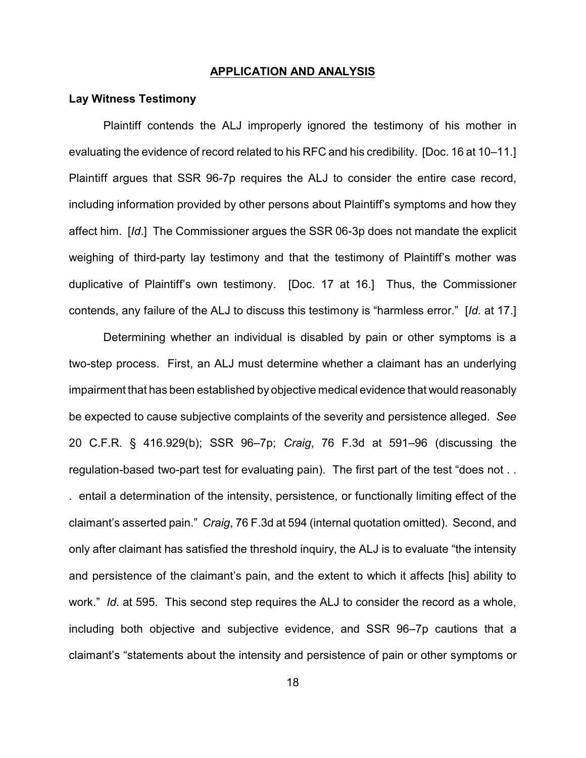#### **APPLICATION AND ANALYSIS**

#### **Lay Witness Testimony**

Plaintiff contends the ALJ improperly ignored the testimony of his mother in evaluating the evidence of record related to his RFC and his credibility. [Doc. 16 at 10–11.] Plaintiff argues that SSR 96-7p requires the ALJ to consider the entire case record, including information provided by other persons about Plaintiff's symptoms and how they affect him. [*Id*.] The Commissioner argues the SSR 06-3p does not mandate the explicit weighing of third-party lay testimony and that the testimony of Plaintiff's mother was duplicative of Plaintiff's own testimony. [Doc. 17 at 16.] Thus, the Commissioner contends, any failure of the ALJ to discuss this testimony is "harmless error." [*Id.* at 17.]

Determining whether an individual is disabled by pain or other symptoms is a two-step process. First, an ALJ must determine whether a claimant has an underlying impairment that has been established by objective medical evidence that would reasonably be expected to cause subjective complaints of the severity and persistence alleged. *See* 20 C.F.R. § 416.929(b); SSR 96–7p; *Craig*, 76 F.3d at 591–96 (discussing the regulation-based two-part test for evaluating pain). The first part of the test "does not . . . entail a determination of the intensity, persistence, or functionally limiting effect of the claimant's asserted pain." *Craig*, 76 F.3d at 594 (internal quotation omitted). Second, and only after claimant has satisfied the threshold inquiry, the ALJ is to evaluate "the intensity and persistence of the claimant's pain, and the extent to which it affects [his] ability to work." *Id*. at 595. This second step requires the ALJ to consider the record as a whole, including both objective and subjective evidence, and SSR 96–7p cautions that a claimant's "statements about the intensity and persistence of pain or other symptoms or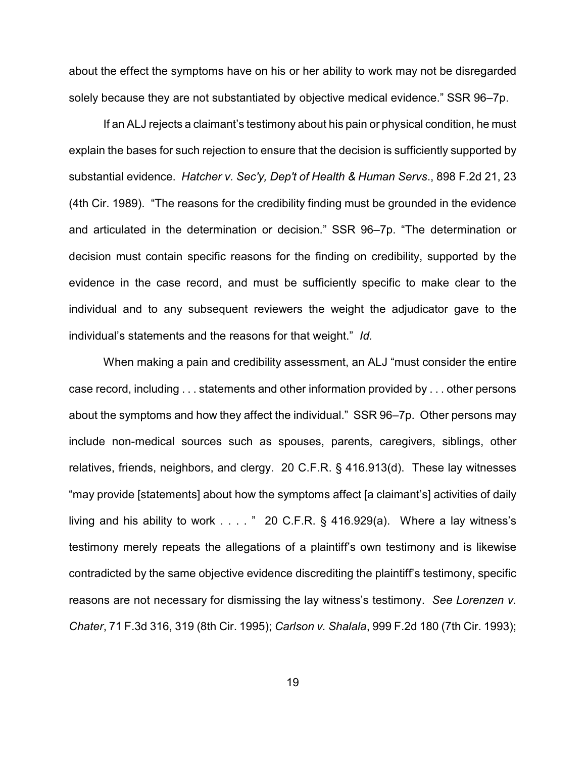about the effect the symptoms have on his or her ability to work may not be disregarded solely because they are not substantiated by objective medical evidence." SSR 96–7p.

If an ALJ rejects a claimant's testimony about his pain or physical condition, he must explain the bases for such rejection to ensure that the decision is sufficiently supported by substantial evidence. *Hatcher v. Sec'y, Dep't of Health & Human Servs*., 898 F.2d 21, 23 (4th Cir. 1989). "The reasons for the credibility finding must be grounded in the evidence and articulated in the determination or decision." SSR 96–7p. "The determination or decision must contain specific reasons for the finding on credibility, supported by the evidence in the case record, and must be sufficiently specific to make clear to the individual and to any subsequent reviewers the weight the adjudicator gave to the individual's statements and the reasons for that weight." *Id.*

When making a pain and credibility assessment, an ALJ "must consider the entire case record, including . . . statements and other information provided by . . . other persons about the symptoms and how they affect the individual." SSR 96–7p. Other persons may include non-medical sources such as spouses, parents, caregivers, siblings, other relatives, friends, neighbors, and clergy. 20 C.F.R. § 416.913(d). These lay witnesses "may provide [statements] about how the symptoms affect [a claimant's] activities of daily living and his ability to work  $\dots$  ." 20 C.F.R. § 416.929(a). Where a lay witness's testimony merely repeats the allegations of a plaintiff's own testimony and is likewise contradicted by the same objective evidence discrediting the plaintiff's testimony, specific reasons are not necessary for dismissing the lay witness's testimony. *See Lorenzen v. Chater*, 71 F.3d 316, 319 (8th Cir. 1995); *Carlson v. Shalala*, 999 F.2d 180 (7th Cir. 1993);

19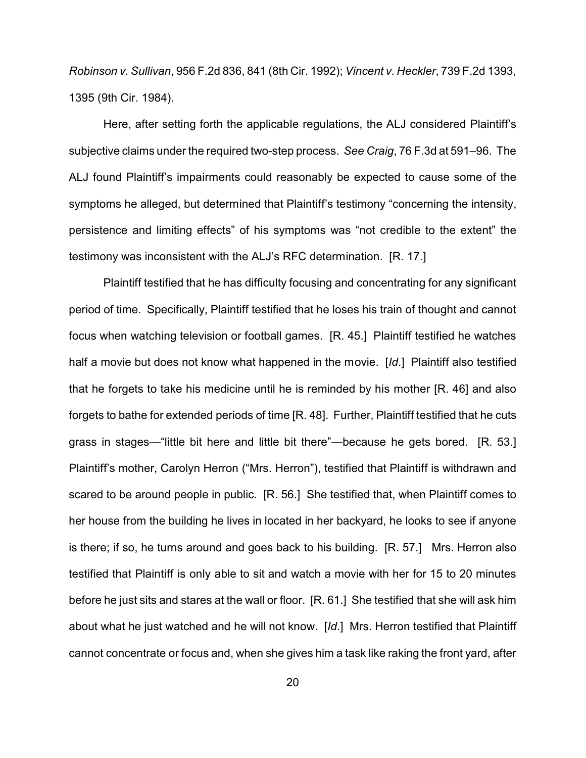*Robinson v. Sullivan*, 956 F.2d 836, 841 (8th Cir. 1992); *Vincent v. Heckler*, 739 F.2d 1393, 1395 (9th Cir. 1984).

Here, after setting forth the applicable regulations, the ALJ considered Plaintiff's subjective claims under the required two-step process. *See Craig*, 76 F.3d at 591–96. The ALJ found Plaintiff's impairments could reasonably be expected to cause some of the symptoms he alleged, but determined that Plaintiff's testimony "concerning the intensity, persistence and limiting effects" of his symptoms was "not credible to the extent" the testimony was inconsistent with the ALJ's RFC determination. [R. 17.]

Plaintiff testified that he has difficulty focusing and concentrating for any significant period of time. Specifically, Plaintiff testified that he loses his train of thought and cannot focus when watching television or football games. [R. 45.] Plaintiff testified he watches half a movie but does not know what happened in the movie. [*Id*.] Plaintiff also testified that he forgets to take his medicine until he is reminded by his mother [R. 46] and also forgets to bathe for extended periods of time [R. 48]. Further, Plaintiff testified that he cuts grass in stages—"little bit here and little bit there"—because he gets bored. [R. 53.] Plaintiff's mother, Carolyn Herron ("Mrs. Herron"), testified that Plaintiff is withdrawn and scared to be around people in public. [R. 56.] She testified that, when Plaintiff comes to her house from the building he lives in located in her backyard, he looks to see if anyone is there; if so, he turns around and goes back to his building. [R. 57.] Mrs. Herron also testified that Plaintiff is only able to sit and watch a movie with her for 15 to 20 minutes before he just sits and stares at the wall or floor. [R. 61.] She testified that she will ask him about what he just watched and he will not know. [*Id*.] Mrs. Herron testified that Plaintiff cannot concentrate or focus and, when she gives him a task like raking the front yard, after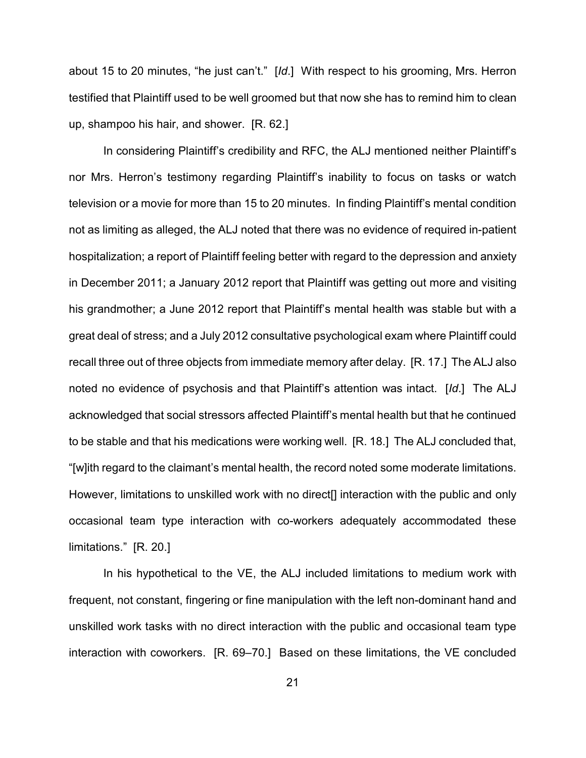about 15 to 20 minutes, "he just can't." [*Id*.] With respect to his grooming, Mrs. Herron testified that Plaintiff used to be well groomed but that now she has to remind him to clean up, shampoo his hair, and shower. [R. 62.]

In considering Plaintiff's credibility and RFC, the ALJ mentioned neither Plaintiff's nor Mrs. Herron's testimony regarding Plaintiff's inability to focus on tasks or watch television or a movie for more than 15 to 20 minutes. In finding Plaintiff's mental condition not as limiting as alleged, the ALJ noted that there was no evidence of required in-patient hospitalization; a report of Plaintiff feeling better with regard to the depression and anxiety in December 2011; a January 2012 report that Plaintiff was getting out more and visiting his grandmother; a June 2012 report that Plaintiff's mental health was stable but with a great deal of stress; and a July 2012 consultative psychological exam where Plaintiff could recall three out of three objects from immediate memory after delay. [R. 17.] The ALJ also noted no evidence of psychosis and that Plaintiff's attention was intact. [*Id*.] The ALJ acknowledged that social stressors affected Plaintiff's mental health but that he continued to be stable and that his medications were working well. [R. 18.] The ALJ concluded that, "[w]ith regard to the claimant's mental health, the record noted some moderate limitations. However, limitations to unskilled work with no direct[] interaction with the public and only occasional team type interaction with co-workers adequately accommodated these limitations." [R. 20.]

In his hypothetical to the VE, the ALJ included limitations to medium work with frequent, not constant, fingering or fine manipulation with the left non-dominant hand and unskilled work tasks with no direct interaction with the public and occasional team type interaction with coworkers. [R. 69–70.] Based on these limitations, the VE concluded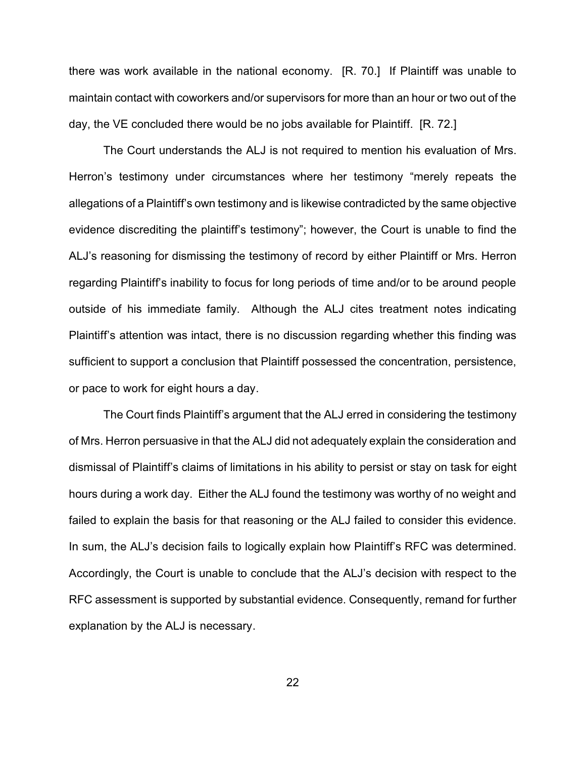there was work available in the national economy. [R. 70.] If Plaintiff was unable to maintain contact with coworkers and/or supervisors for more than an hour or two out of the day, the VE concluded there would be no jobs available for Plaintiff. [R. 72.]

The Court understands the ALJ is not required to mention his evaluation of Mrs. Herron's testimony under circumstances where her testimony "merely repeats the allegations of a Plaintiff's own testimony and is likewise contradicted by the same objective evidence discrediting the plaintiff's testimony"; however, the Court is unable to find the ALJ's reasoning for dismissing the testimony of record by either Plaintiff or Mrs. Herron regarding Plaintiff's inability to focus for long periods of time and/or to be around people outside of his immediate family. Although the ALJ cites treatment notes indicating Plaintiff's attention was intact, there is no discussion regarding whether this finding was sufficient to support a conclusion that Plaintiff possessed the concentration, persistence, or pace to work for eight hours a day.

The Court finds Plaintiff's argument that the ALJ erred in considering the testimony of Mrs. Herron persuasive in that the ALJ did not adequately explain the consideration and dismissal of Plaintiff's claims of limitations in his ability to persist or stay on task for eight hours during a work day. Either the ALJ found the testimony was worthy of no weight and failed to explain the basis for that reasoning or the ALJ failed to consider this evidence. In sum, the ALJ's decision fails to logically explain how Plaintiff's RFC was determined. Accordingly, the Court is unable to conclude that the ALJ's decision with respect to the RFC assessment is supported by substantial evidence. Consequently, remand for further explanation by the ALJ is necessary.

22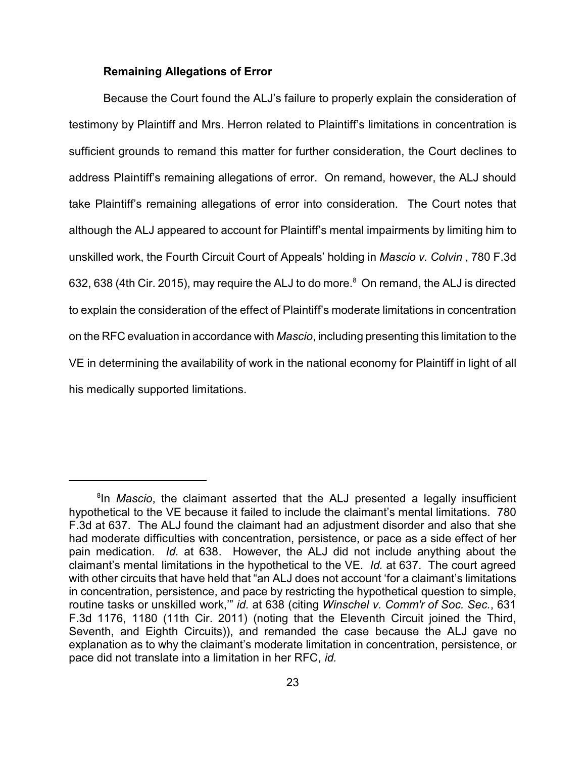#### **Remaining Allegations of Error**

Because the Court found the ALJ's failure to properly explain the consideration of testimony by Plaintiff and Mrs. Herron related to Plaintiff's limitations in concentration is sufficient grounds to remand this matter for further consideration, the Court declines to address Plaintiff's remaining allegations of error. On remand, however, the ALJ should take Plaintiff's remaining allegations of error into consideration. The Court notes that although the ALJ appeared to account for Plaintiff's mental impairments by limiting him to unskilled work, the Fourth Circuit Court of Appeals' holding in *Mascio v. Colvin* , 780 F.3d 632, 638 (4th Cir. 2015), may require the ALJ to do more.<sup>8</sup> On remand, the ALJ is directed to explain the consideration of the effect of Plaintiff's moderate limitations in concentration on the RFC evaluation in accordance with *Mascio*, including presenting this limitation to the VE in determining the availability of work in the national economy for Plaintiff in light of all his medically supported limitations.

<sup>&</sup>lt;sup>8</sup>In *Mascio*, the claimant asserted that the ALJ presented a legally insufficient hypothetical to the VE because it failed to include the claimant's mental limitations. 780 F.3d at 637. The ALJ found the claimant had an adjustment disorder and also that she had moderate difficulties with concentration, persistence, or pace as a side effect of her pain medication. *Id.* at 638. However, the ALJ did not include anything about the claimant's mental limitations in the hypothetical to the VE. *Id.* at 637. The court agreed with other circuits that have held that "an ALJ does not account 'for a claimant's limitations in concentration, persistence, and pace by restricting the hypothetical question to simple, routine tasks or unskilled work,'" *id.* at 638 (citing *Winschel v. Comm'r of Soc. Sec.*, 631 F.3d 1176, 1180 (11th Cir. 2011) (noting that the Eleventh Circuit joined the Third, Seventh, and Eighth Circuits)), and remanded the case because the ALJ gave no explanation as to why the claimant's moderate limitation in concentration, persistence, or pace did not translate into a limitation in her RFC, *id.*